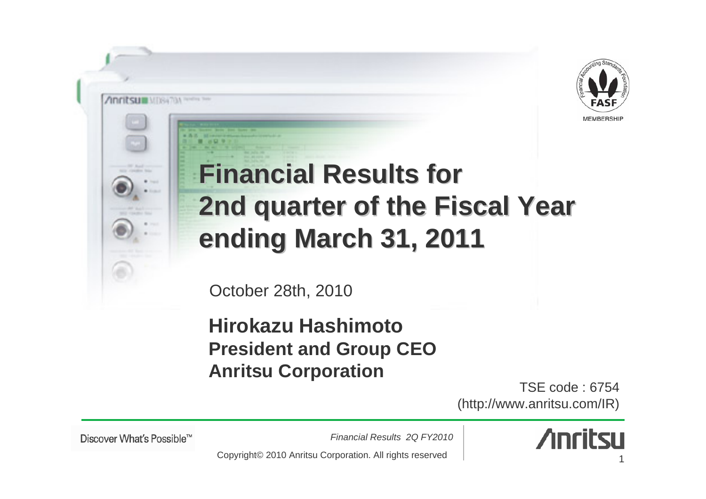

## **Financial Results for 2nd quarter of the Fiscal Year ending March 31, 20 ending March 31, 2011**

October 28th, 2010

**Hirokazu HashimotoPresident and Group CEO Anritsu Corporation**

TSE code : 6754(http://www.anritsu.com/IR)

Discover What's Possible™

Anritsum Mission were the

*Financial Results 2Q FY2010*



Copyright© 2010 Anritsu Corporation. All rights reserved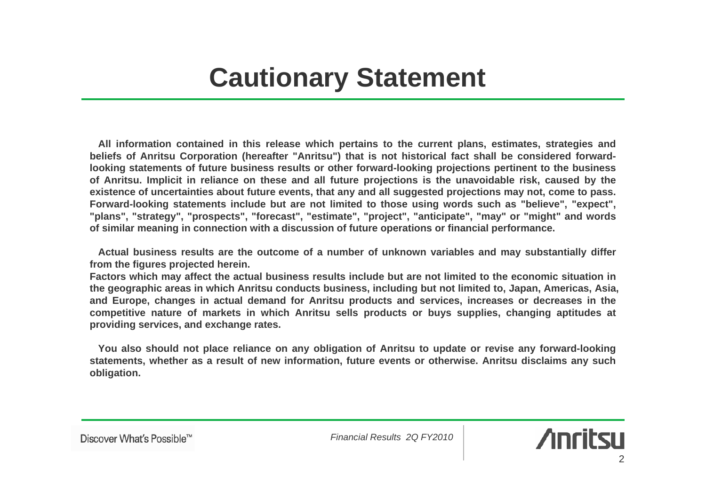**All information contained in this release which pertains to the current plans, estimates, strategies and beliefs of Anritsu Corporation (hereafter "Anritsu") that is not historical fact shall be considered forwardlooking statements of future business results or other forward-looking projections pertinent to the business of Anritsu. Implicit in reliance on these and all future projections is the unavoidable risk, caused by the existence of uncertainties about future events, that any and all suggested projections may not, come to pass. Forward-looking statements include but are not limited to those using words such as "believe", "expect", "plans", "strategy", "prospects", "forecast", "estimate", "project", "anticipate", "may" or "might" and words of similar meaning in connection with a discussion of future operations or financial performance.**

**Actual business results are the outcome of a number of unknown variables and may substantially differ from the figures projected herein.**

**Factors which may affect the actual business results include but are not limited to the economic situation in the geographic areas in which Anritsu conducts business, including but not limited to, Japan, Americas, Asia, and Europe, changes in actual demand for Anritsu products and services, increases or decreases in the competitive nature of markets in which Anritsu sells products or buys supplies, changing aptitudes at providing services, and exchange rates.**

**You also should not place reliance on any obligation of Anritsu to update or revise any forward-looking statements, whether as a result of new information, future events or otherwise. Anritsu disclaims any such obligation.** 

Discover What's Possible™

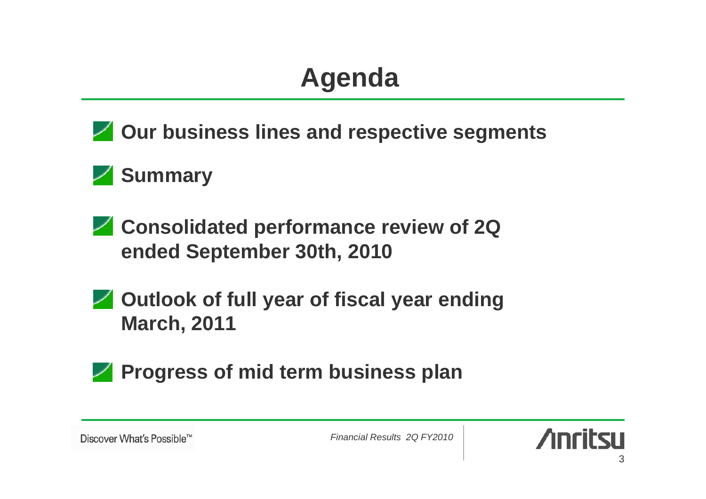### **Agenda**

**Z** Our business lines and respective segments

#### **Summary**

- **Consolidated performance review of 2Q ended September 30th, 2010**
- **Z** Outlook of full year of fiscal year ending **March, 2011**
- **Progress of mid term business plan**

Discover What's Possible™

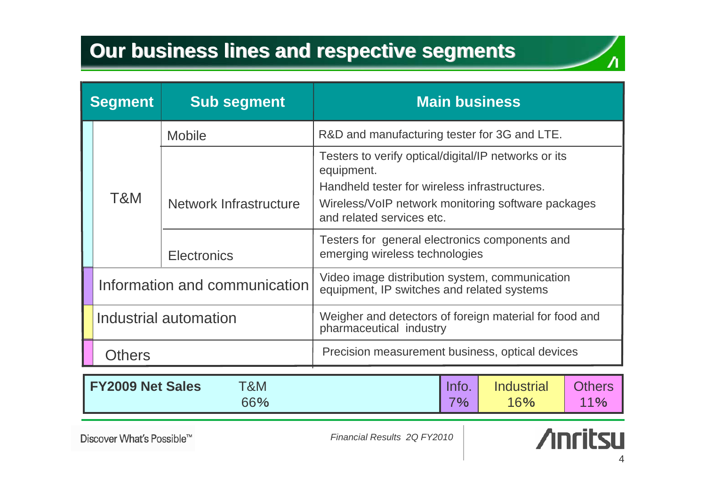#### **Our business lines and respective segments**

| <b>Segment</b>                        |                               | <b>Sub segment</b>     | <b>Main business</b>                                                                                                                                                                                   |                          |                      |  |
|---------------------------------------|-------------------------------|------------------------|--------------------------------------------------------------------------------------------------------------------------------------------------------------------------------------------------------|--------------------------|----------------------|--|
|                                       | T&M                           | <b>Mobile</b>          | R&D and manufacturing tester for 3G and LTE.                                                                                                                                                           |                          |                      |  |
|                                       |                               | Network Infrastructure | Testers to verify optical/digital/IP networks or its<br>equipment.<br>Handheld tester for wireless infrastructures.<br>Wireless/VoIP network monitoring software packages<br>and related services etc. |                          |                      |  |
|                                       |                               | <b>Electronics</b>     | Testers for general electronics components and<br>emerging wireless technologies                                                                                                                       |                          |                      |  |
|                                       | Information and communication |                        | Video image distribution system, communication<br>equipment, IP switches and related systems                                                                                                           |                          |                      |  |
|                                       | Industrial automation         |                        | Weigher and detectors of foreign material for food and<br>pharmaceutical industry                                                                                                                      |                          |                      |  |
|                                       | <b>Others</b>                 |                        | Precision measurement business, optical devices                                                                                                                                                        |                          |                      |  |
| <b>FY2009 Net Sales</b><br>T&M<br>66% |                               |                        | Info.<br>7%                                                                                                                                                                                            | <b>Industrial</b><br>16% | <b>Others</b><br>11% |  |

Discover What's Possible™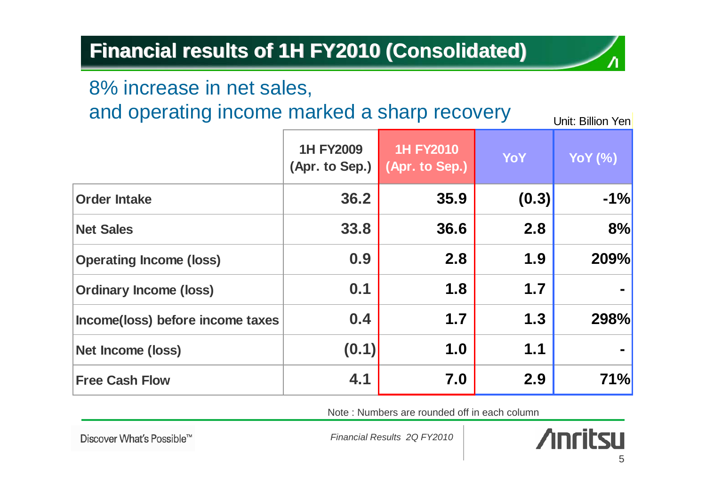#### **Financial results of 1H FY2010 (Consolidated) Financial results of 1H FY2010 (Consolidated)**

#### 8% increase in net sales,

and operating income marked a sharp recovery

Unit: Billion Yen

|                                  | <b>1H FY2009</b><br>(Apr. to Sep.) | <b>1H FY2010</b><br>(Apr. to Sep.) | YoY   | <b>YoY</b> (%) |
|----------------------------------|------------------------------------|------------------------------------|-------|----------------|
| <b>Order Intake</b>              | 36.2                               | 35.9                               | (0.3) | $-1%$          |
| <b>Net Sales</b>                 | 33.8                               | 36.6                               | 2.8   | 8%             |
| <b>Operating Income (loss)</b>   | 0.9                                | 2.8                                | 1.9   | 209%           |
| <b>Ordinary Income (loss)</b>    | 0.1                                | 1.8                                | 1.7   |                |
| Income(loss) before income taxes | 0.4                                | 1.7                                | 1.3   | 298%           |
| Net Income (loss)                | (0.1)                              | 1.0                                | 1.1   |                |
| <b>Free Cash Flow</b>            | 4.1                                | 7.0                                | 2.9   | 71%            |

Note : Numbers are rounded off in each column

Discover What's Possible™

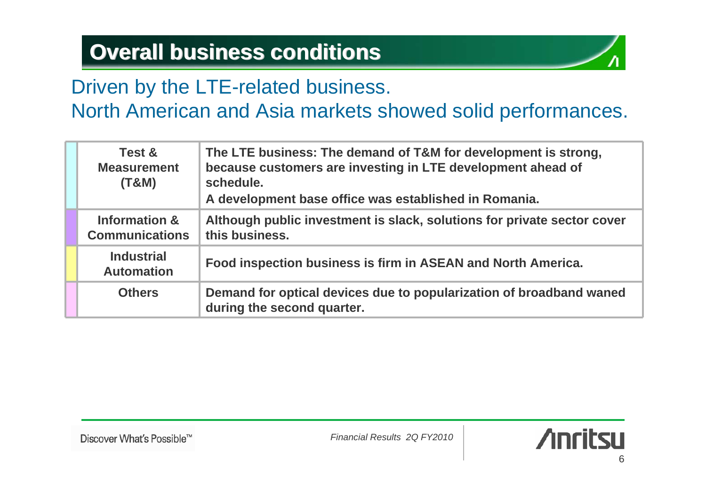#### **Overall business conditions Overall business conditions**



#### Driven by the LTE-related business.

#### North American and Asia markets showed solid performances.

|  | The LTE business: The demand of T&M for development is strong,<br>Test &<br>because customers are investing in LTE development ahead of<br><b>Measurement</b><br>schedule.<br>(T&M)<br>A development base office was established in Romania. |                                                                                                   |  |  |
|--|----------------------------------------------------------------------------------------------------------------------------------------------------------------------------------------------------------------------------------------------|---------------------------------------------------------------------------------------------------|--|--|
|  | Information &<br><b>Communications</b>                                                                                                                                                                                                       | Although public investment is slack, solutions for private sector cover<br>this business.         |  |  |
|  | <b>Industrial</b><br><b>Automation</b>                                                                                                                                                                                                       | Food inspection business is firm in ASEAN and North America.                                      |  |  |
|  | <b>Others</b>                                                                                                                                                                                                                                | Demand for optical devices due to popularization of broadband waned<br>during the second quarter. |  |  |

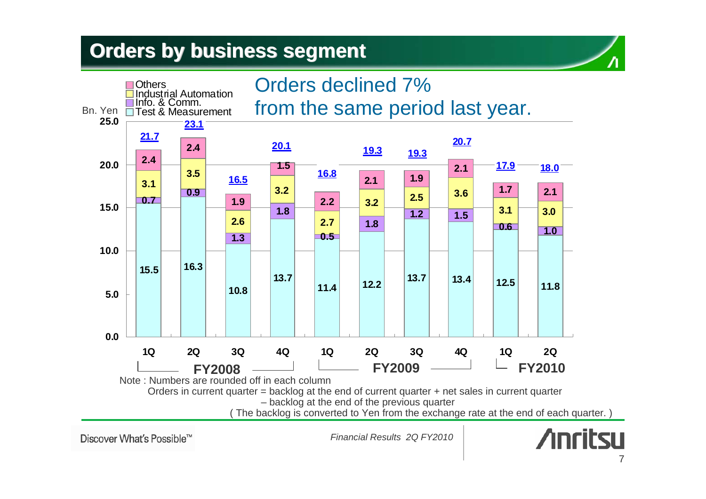#### **Orders by business segment Orders by business segment**



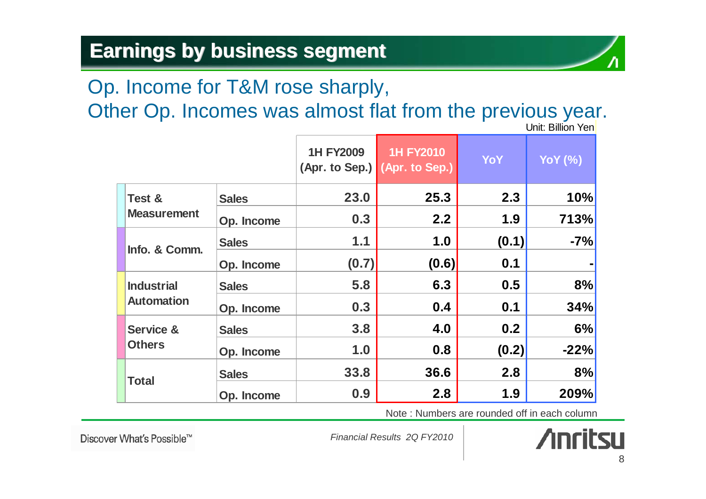#### **Earnings by business segment Earnings by business segment**

#### Op. Income for T&M rose sharply,

Other Op. Incomes was almost flat from the previous year.

|                                        |              | <b>1H FY2009</b><br>(Apr. to Sep.) (Apr. to Sep.) | <b>1H FY2010</b> | YoY   | <b>YoY</b> (%) |
|----------------------------------------|--------------|---------------------------------------------------|------------------|-------|----------------|
| Test &<br><b>Measurement</b>           | <b>Sales</b> | 23.0                                              | 25.3             | 2.3   | 10%            |
|                                        | Op. Income   | 0.3                                               | 2.2              | 1.9   | 713%           |
| Info. & Comm.                          | <b>Sales</b> | 1.1                                               | 1.0              | (0.1) | $-7%$          |
|                                        | Op. Income   | (0.7)                                             | (0.6)            | 0.1   |                |
| <b>Industrial</b><br><b>Automation</b> | <b>Sales</b> | 5.8                                               | 6.3              | 0.5   | 8%             |
|                                        | Op. Income   | 0.3                                               | 0.4              | 0.1   | 34%            |
| <b>Service &amp;</b><br><b>Others</b>  | <b>Sales</b> | 3.8                                               | 4.0              | 0.2   | 6%             |
|                                        | Op. Income   | 1.0                                               | 0.8              | (0.2) | $-22%$         |
| <b>Total</b>                           | <b>Sales</b> | 33.8                                              | 36.6             | 2.8   | 8%             |
|                                        | Op. Income   | 0.9                                               | 2.8              | 1.9   | 209%           |

Unit: Billion Yen

Note : Numbers are rounded off in each column

Discover What's Possible™

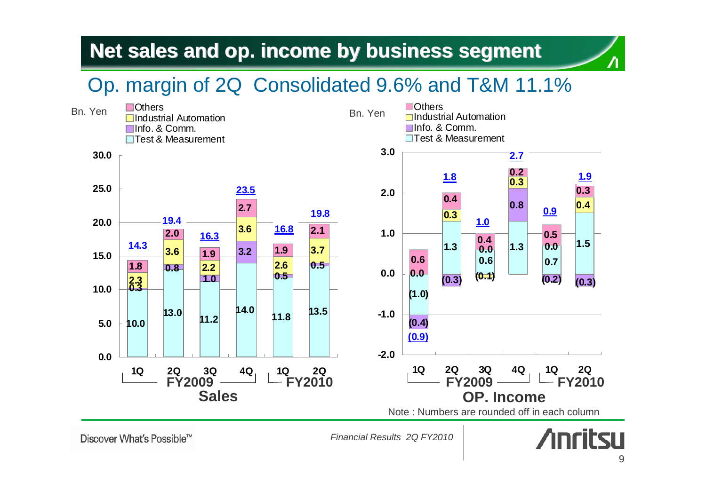#### **Net sales and op. income by business segment Net sales and op. income by business segment**

#### Op. margin of 2Q Consolidated 9.6% and T&M 11.1%

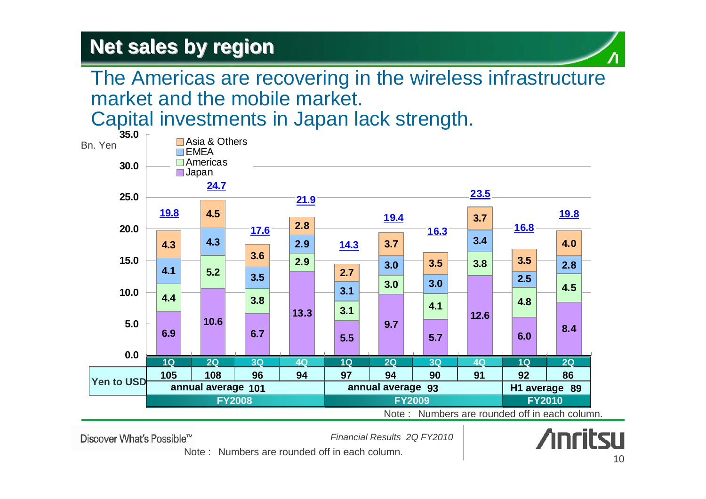#### **Net sales by region Net sales by region**



#### The Americas are recovering in the wireless infrastructure market and the mobile market.

Capital investments in Japan lack strength.



Note : Numbers are rounded off in each column.

Discover What's Possible™

*Financial Results 2Q FY2010*



Note : Numbers are rounded off in each column.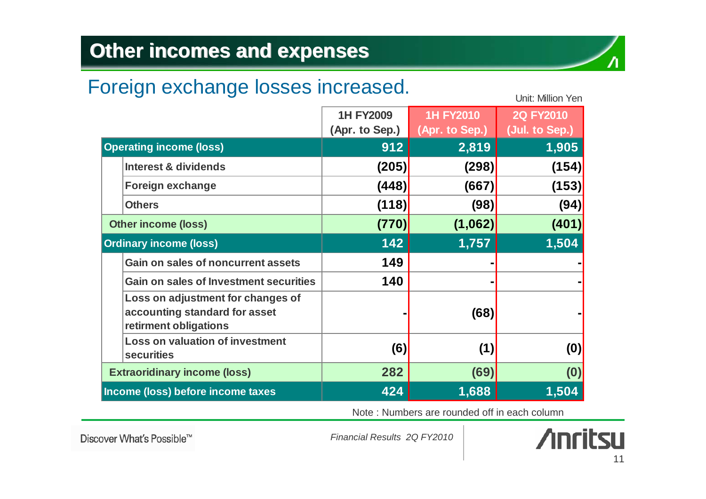#### **Other incomes and expenses**

#### Foreign exchange losses increased.

|                                     |                                                                                             | <b>1H FY2009</b>      | <b>1H FY2010</b>        | 2Q FY2010               |
|-------------------------------------|---------------------------------------------------------------------------------------------|-----------------------|-------------------------|-------------------------|
| <b>Operating income (loss)</b>      |                                                                                             | (Apr. to Sep.)<br>912 | (Apr. to Sep.)<br>2,819 | (Jul. to Sep.)<br>1,905 |
|                                     | Interest & dividends                                                                        | (205)                 | (298)                   | (154)                   |
|                                     | <b>Foreign exchange</b>                                                                     | (448)                 | (667)                   | (153)                   |
|                                     | <b>Others</b>                                                                               | (118)                 | (98)                    | (94)                    |
| <b>Other income (loss)</b>          |                                                                                             | (770)                 | (1,062)                 | (401)                   |
|                                     | <b>Ordinary income (loss)</b>                                                               | 142                   | 1,757                   | 1,504                   |
|                                     | Gain on sales of noncurrent assets                                                          | 149                   |                         |                         |
|                                     | <b>Gain on sales of Investment securities</b>                                               | 140                   |                         |                         |
|                                     | Loss on adjustment for changes of<br>accounting standard for asset<br>retirment obligations |                       | (68)                    |                         |
|                                     | <b>Loss on valuation of investment</b><br><b>securities</b>                                 | (6)                   | (1)                     | (0)                     |
| <b>Extraoridinary income (loss)</b> |                                                                                             | 282                   | (69)                    | (0)                     |
| Income (loss) before income taxes   |                                                                                             | 424                   | 1,688                   | 1,504                   |

Note : Numbers are rounded off in each column

Discover What's Possible™

*Financial Results 2Q FY2010*



Unit: Million Yen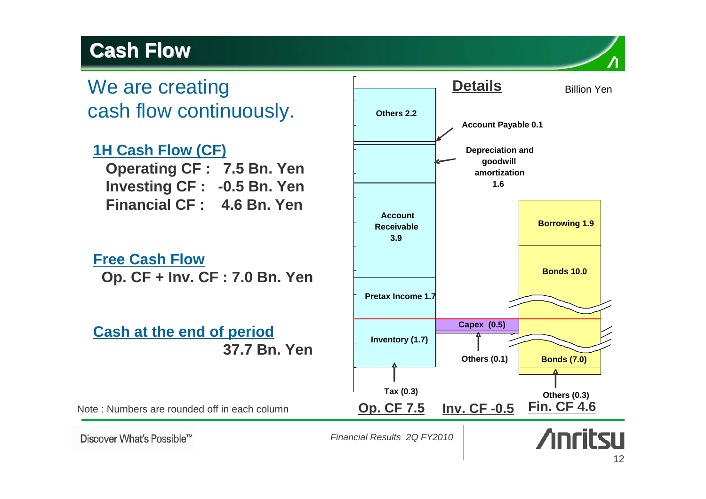#### **Cash Flow Cash Flow**

# cash flow continuously.

#### **1H Cash Flow (CF)**

**Operating CF : 7.5 Bn. Yen Investing CF : -0.5 Bn. Yen Financial CF : 4.6 Bn. Yen**

**Free Cash Flow Op. CF + Inv. CF : 7.0 Bn. Yen**

#### **Cash at the end of period 37.7 Bn. Yen**

Note : Numbers are rounded off in each column



Discover What's Possible™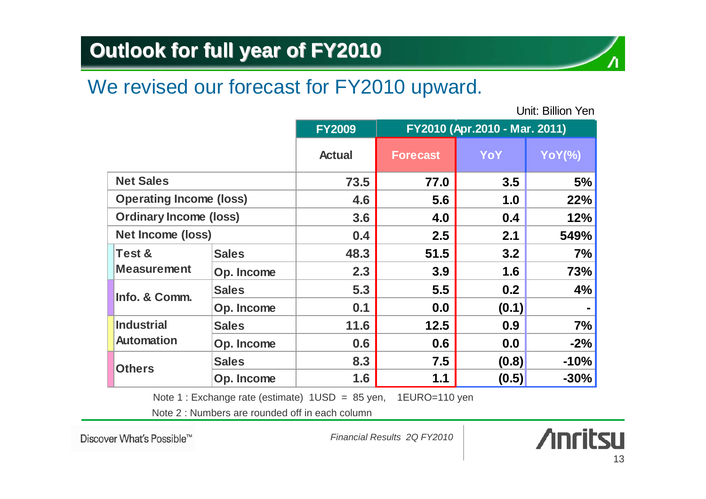#### **Outlook for full year of FY2010**

#### We revised our forecast for FY2010 upward.

Unit: Billion Yen

|                                                                 |                          | <b>FY2009</b> | FY2010 (Apr.2010 - Mar. 2011) |       |               |
|-----------------------------------------------------------------|--------------------------|---------------|-------------------------------|-------|---------------|
|                                                                 |                          | <b>Actual</b> | <b>Forecast</b>               | YoY   | <b>YoY(%)</b> |
| <b>Net Sales</b>                                                |                          | 73.5          | 77.0                          | 3.5   | 5%            |
| <b>Operating Income (loss)</b><br><b>Ordinary Income (loss)</b> |                          | 4.6           | 5.6                           | 1.0   | 22%           |
|                                                                 |                          | 3.6           | 4.0                           | 0.4   | 12%           |
|                                                                 | <b>Net Income (loss)</b> |               | 2.5                           | 2.1   | 549%          |
| <b>Test &amp;</b>                                               | <b>Sales</b>             | 48.3          | 51.5                          | 3.2   | 7%            |
| <b>Measurement</b>                                              | Op. Income               | 2.3           | 3.9                           | 1.6   | 73%           |
| Info. & Comm.                                                   | <b>Sales</b>             | 5.3           | 5.5                           | 0.2   | 4%            |
|                                                                 | Op. Income               | 0.1           | 0.0                           | (0.1) |               |
| <b>Industrial</b>                                               | <b>Sales</b>             | 11.6          | $12.5$                        | 0.9   | 7%            |
| <b>Automation</b>                                               | Op. Income               | 0.6           | 0.6                           | 0.0   | $-2%$         |
| <b>Others</b>                                                   | <b>Sales</b>             | 8.3           | 7.5                           | (0.8) | $-10%$        |
|                                                                 | Op. Income               | 1.6           | 1.1                           | (0.5) | $-30%$        |

Note 1 : Exchange rate (estimate) 1USD = 85 yen, 1EURO=110 yen

Note 2 : Numbers are rounded off in each column

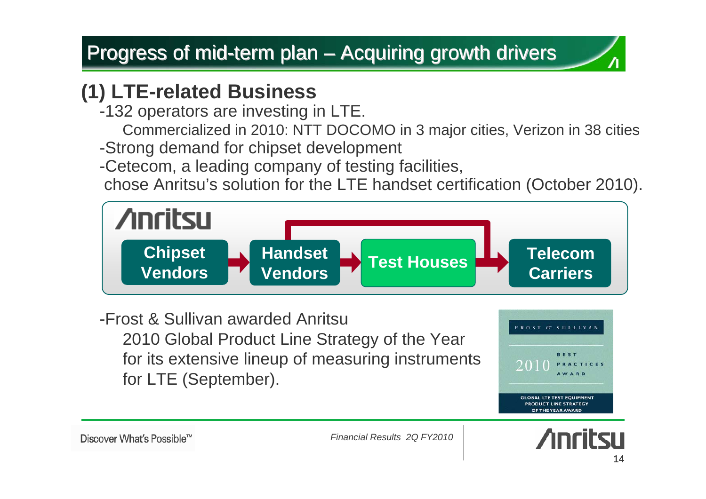#### **(1) LTE-related Business**

- -132 operators are investing in LTE.
	- Commercialized in 2010: NTT DOCOMO in 3 major cities, Verizon in 38 cities
- -Strong demand for chipset development
- -Cetecom, a leading company of testing facilities,
- chose Anritsu's solution for the LTE handset certification (October 2010).



-Frost & Sullivan awarded Anritsu 2010 Global Product Line Strategy of the Year for its extensive lineup of measuring instruments for LTE (September).



Discover What's Possible™

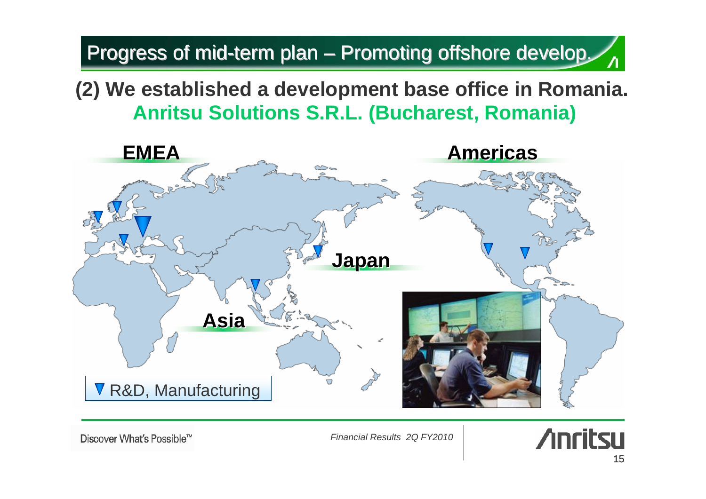#### Progress of mid-term plan – Promoting offshore develop.  $\mathcal{L}_{\Lambda}$

**(2) We established a development base office in Romania. Anritsu Solutions S.R.L. (Bucharest, Romania)**



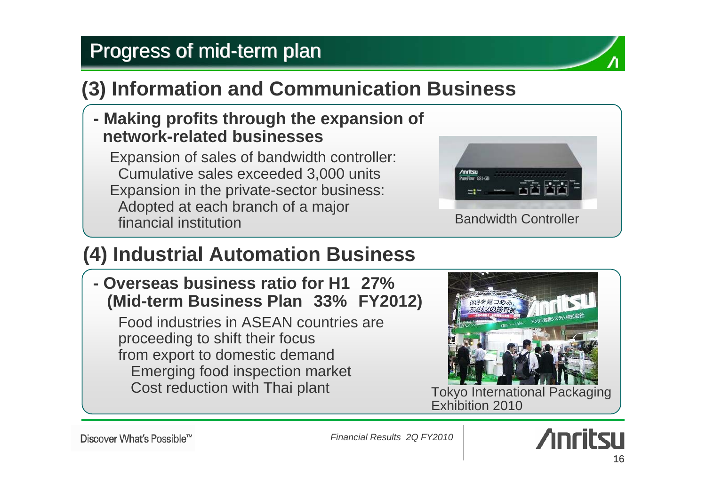#### Progress of mid-term plan

#### **(3) Information and Communication Business**

#### **- Making profits through the expansion of network-related businesses**

Expansion of sales of bandwidth controller: Cumulative sales exceeded 3,000 units Expansion in the private-sector business: Adopted at each branch of a major financial institution



#### **(4) Industrial Automation Business**

**- Overseas business ratio for H1 27% (Mid-term Business Plan 33% FY2012)**

Food industries in ASEAN countries are proceeding to shift their focus from export to domestic demand Emerging food inspection market Cost reduction with Thai plant



Tokyo International Packaging Exhibition 2010

Discover What's Possible™

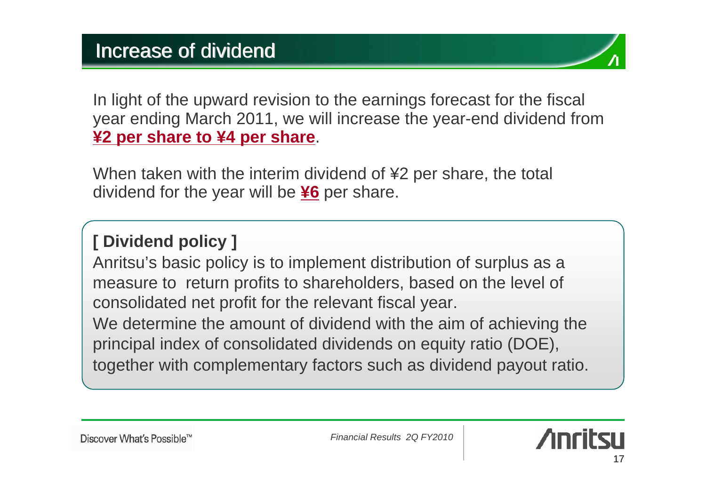In light of the upward revision to the earnings forecast for the fiscal year ending March 2011, we will increase the year-end dividend from **¥2 per share to ¥4 per share**.

When taken with the interim dividend of ¥2 per share, the total dividend for the year will be **¥6** per share.

#### **[ Dividend policy ]**

Anritsu's basic policy is to implement distribution of surplus as a measure to return profits to shareholders, based on the level of consolidated net profit for the relevant fiscal year.

We determine the amount of dividend with the aim of achieving the principal index of consolidated dividends on equity ratio (DOE), together with complementary factors such as dividend payout ratio.

Discover What's Possible™